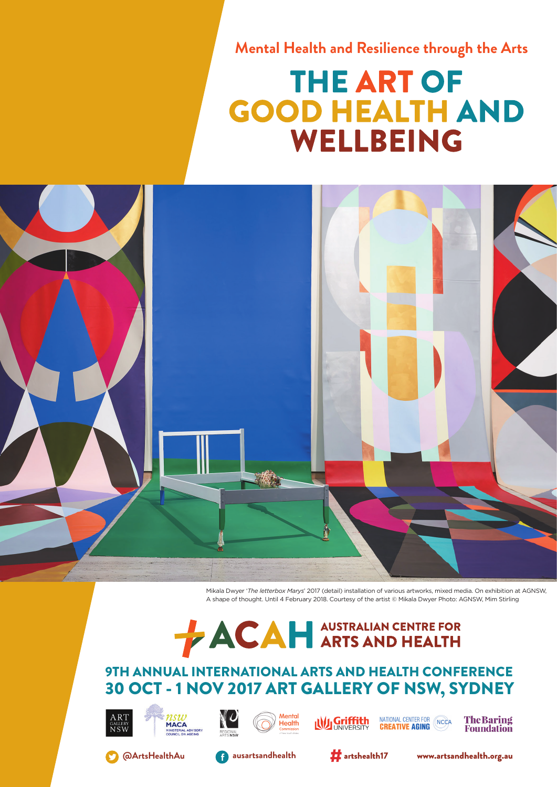**Mental Health and Resilience through the Arts**

## **THE ART OF GOOD HEALTH AND WELLBEING**



Mikala Dwyer '*The letterbox Marys*' 2017 (detail) installation of various artworks, mixed media. On exhibition at AGNSW, A shape of thought. Until 4 February 2018. Courtesy of the artist © Mikala Dwyer Photo: AGNSW, Mim Stirling

# **ACAH** ARTS AND HEALTH

## 9TH ANNUAL INTERNATIONAL ARTS AND HEALTH CONFERENCE 30 OCT - 1 NOV 2017 ART GALLERY OF NSW, SYDNEY





















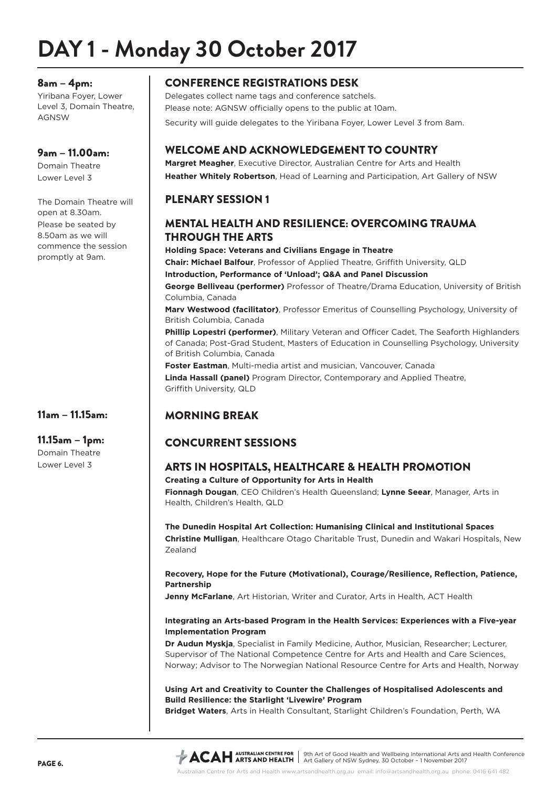## **DAY 1 - Monday 30 October 2017**

#### 8am – 4pm:

Yiribana Foyer, Lower Level 3, Domain Theatre, AGNSW

#### 9am – 11.00am:

Domain Theatre Lower Level 3

The Domain Theatre will open at 8.30am. Please be seated by 8.50am as we will commence the session promptly at 9am.

## 11am – 11.15am:

#### 11.15am – 1pm:

Domain Theatre Lower Level 3

## CONFERENCE REGISTRATIONS DESK

Delegates collect name tags and conference satchels. Please note: AGNSW officially opens to the public at 10am. Security will guide delegates to the Yiribana Foyer, Lower Level 3 from 8am.

## WELCOME AND ACKNOWLEDGEMENT TO COUNTRY

**Margret Meagher**, Executive Director, Australian Centre for Arts and Health **Heather Whitely Robertson**, Head of Learning and Participation, Art Gallery of NSW

## PLENARY SESSION 1

## MENTAL HEALTH AND RESILIENCE: OVERCOMING TRAUMA THROUGH THE ARTS

**Holding Space: Veterans and Civilians Engage in Theatre Chair: Michael Balfour**, Professor of Applied Theatre, Griffith University, QLD **Introduction, Performance of 'Unload'; Q&A and Panel Discussion George Belliveau (performer)** Professor of Theatre/Drama Education, University of British Columbia, Canada **Marv Westwood (facilitator)**, Professor Emeritus of Counselling Psychology, University of British Columbia, Canada **Phillip Lopestri (performer)**, Military Veteran and Officer Cadet, The Seaforth Highlanders of Canada; Post-Grad Student, Masters of Education in Counselling Psychology, University of British Columbia, Canada **Foster Eastman**, Multi-media artist and musician, Vancouver, Canada **Linda Hassall (panel)** Program Director, Contemporary and Applied Theatre, Griffith University, QLD

## MORNING BREAK

## CONCURRENT SESSIONS

## ARTS IN HOSPITALS, HEALTHCARE & HEALTH PROMOTION

**Creating a Culture of Opportunity for Arts in Health**

**Fionnagh Dougan**, CEO Children's Health Queensland; **Lynne Seear**, Manager, Arts in Health, Children's Health, QLD

### **The Dunedin Hospital Art Collection: Humanising Clinical and Institutional Spaces**

**Christine Mulligan**, Healthcare Otago Charitable Trust, Dunedin and Wakari Hospitals, New Zealand

#### **Recovery, Hope for the Future (Motivational), Courage/Resilience, Reflection, Patience, Partnership**

**Jenny McFarlane**, Art Historian, Writer and Curator, Arts in Health, ACT Health

#### **Integrating an Arts-based Program in the Health Services: Experiences with a Five-year Implementation Program**

**Dr Audun Myskja**, Specialist in Family Medicine, Author, Musician, Researcher; Lecturer, Supervisor of The National Competence Centre for Arts and Health and Care Sciences, Norway; Advisor to The Norwegian National Resource Centre for Arts and Health, Norway

**Using Art and Creativity to Counter the Challenges of Hospitalised Adolescents and Build Resilience: the Starlight 'Livewire' Program**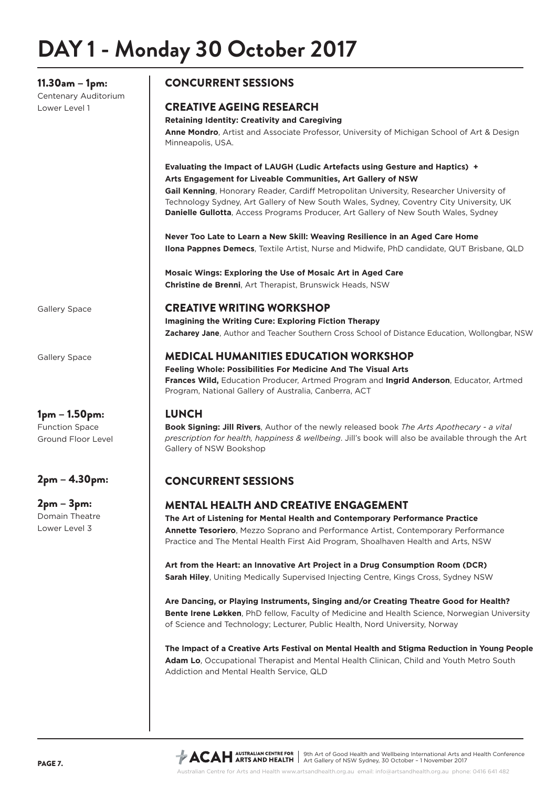11.30am – 1pm:

Centenary Auditorium Lower Level 1

## CONCURRENT SESSIONS

## CREATIVE AGEING RESEARCH

#### **Retaining Identity: Creativity and Caregiving**

**Anne Mondro**, Artist and Associate Professor, University of Michigan School of Art & Design Minneapolis, USA.

#### **Evaluating the Impact of LAUGH (Ludic Artefacts using Gesture and Haptics) + Arts Engagement for Liveable Communities, Art Gallery of NSW**

**Gail Kenning**, Honorary Reader, Cardiff Metropolitan University, Researcher University of Technology Sydney, Art Gallery of New South Wales, Sydney, Coventry City University, UK **Danielle Gullotta**, Access Programs Producer, Art Gallery of New South Wales, Sydney

**Never Too Late to Learn a New Skill: Weaving Resilience in an Aged Care Home Ilona Pappnes Demecs**, Textile Artist, Nurse and Midwife, PhD candidate, QUT Brisbane, QLD

**Mosaic Wings: Exploring the Use of Mosaic Art in Aged Care Christine de Brenni**, Art Therapist, Brunswick Heads, NSW

Gallery Space

Gallery Space

1pm – 1.50pm: Function Space Ground Floor Level

## 2pm – 4.30pm:

2pm – 3pm: Domain Theatre Lower Level 3

## CREATIVE WRITING WORKSHOP

**Imagining the Writing Cure: Exploring Fiction Therapy Zacharey Jane**, Author and Teacher Southern Cross School of Distance Education, Wollongbar, NSW

### MEDICAL HUMANITIES EDUCATION WORKSHOP

**Feeling Whole: Possibilities For Medicine And The Visual Arts Frances Wild,** Education Producer, Artmed Program and **Ingrid Anderson**, Educator, Artmed Program, National Gallery of Australia, Canberra, ACT

### LUNCH

**Book Signing: Jill Rivers**, Author of the newly released book *The Arts Apothecary - a vital prescription for health, happiness & wellbeing*. Jill's book will also be available through the Art Gallery of NSW Bookshop

## CONCURRENT SESSIONS

## MENTAL HEALTH AND CREATIVE ENGAGEMENT

**The Art of Listening for Mental Health and Contemporary Performance Practice Annette Tesoriero**, Mezzo Soprano and Performance Artist, Contemporary Performance Practice and The Mental Health First Aid Program, Shoalhaven Health and Arts, NSW

**Art from the Heart: an Innovative Art Project in a Drug Consumption Room (DCR) Sarah Hiley**, Uniting Medically Supervised Injecting Centre, Kings Cross, Sydney NSW

**Are Dancing, or Playing Instruments, Singing and/or Creating Theatre Good for Health? Bente Irene Løkken**, PhD fellow, Faculty of Medicine and Health Science, Norwegian University of Science and Technology; Lecturer, Public Health, Nord University, Norway

**The Impact of a Creative Arts Festival on Mental Health and Stigma Reduction in Young People Adam Lo**, Occupational Therapist and Mental Health Clinican, Child and Youth Metro South Addiction and Mental Health Service, QLD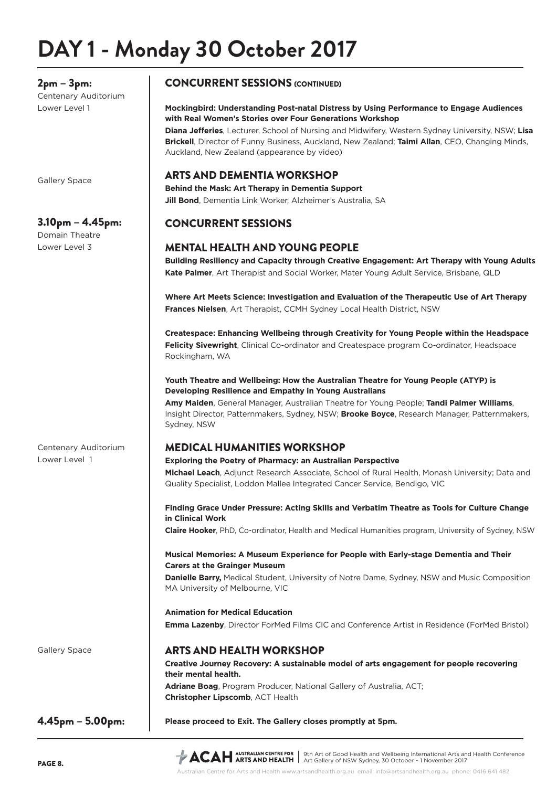## **DAY 1 - Monday 30 October 2017**

## 2pm – 3pm:

Centenary Auditorium Lower Level 1

Gallery Space

## 3.10pm – 4.45pm:

Centenary Auditorium

Lower Level 1

Domain Theatre Lower Level 3

## CONCURRENT SESSIONS (CONTINUED)

#### **Mockingbird: Understanding Post-natal Distress by Using Performance to Engage Audiences with Real Women's Stories over Four Generations Workshop**

**Diana Jefferies**, Lecturer, School of Nursing and Midwifery, Western Sydney University, NSW; **Lisa Brickell**, Director of Funny Business, Auckland, New Zealand; **Taimi Allan**, CEO, Changing Minds, Auckland, New Zealand (appearance by video)

## ARTS AND DEMENTIA WORKSHOP

**Behind the Mask: Art Therapy in Dementia Support Jill Bond**, Dementia Link Worker, Alzheimer's Australia, SA

## CONCURRENT SESSIONS

### MENTAL HEALTH AND YOUNG PEOPLE

**Building Resiliency and Capacity through Creative Engagement: Art Therapy with Young Adults Kate Palmer**, Art Therapist and Social Worker, Mater Young Adult Service, Brisbane, QLD

**Where Art Meets Science: Investigation and Evaluation of the Therapeutic Use of Art Therapy Frances Nielsen**, Art Therapist, CCMH Sydney Local Health District, NSW

**Createspace: Enhancing Wellbeing through Creativity for Young People within the Headspace Felicity Sivewright**, Clinical Co-ordinator and Createspace program Co-ordinator, Headspace Rockingham, WA

#### **Youth Theatre and Wellbeing: How the Australian Theatre for Young People (ATYP) is Developing Resilience and Empathy in Young Australians**

**Amy Maiden**, General Manager, Australian Theatre for Young People; **Tandi Palmer Williams**, Insight Director, Patternmakers, Sydney, NSW; **Brooke Boyce**, Research Manager, Patternmakers, Sydney, NSW

## MEDICAL HUMANITIES WORKSHOP

#### **Exploring the Poetry of Pharmacy: an Australian Perspective**

**Michael Leach**, Adjunct Research Associate, School of Rural Health, Monash University; Data and Quality Specialist, Loddon Mallee Integrated Cancer Service, Bendigo, VIC

**Finding Grace Under Pressure: Acting Skills and Verbatim Theatre as Tools for Culture Change in Clinical Work**

**Claire Hooker**, PhD, Co-ordinator, Health and Medical Humanities program, University of Sydney, NSW

#### **Musical Memories: A Museum Experience for People with Early-stage Dementia and Their Carers at the Grainger Museum**

**Danielle Barry,** Medical Student, University of Notre Dame, Sydney, NSW and Music Composition MA University of Melbourne, VIC

#### **Animation for Medical Education**

**Emma Lazenby**, Director ForMed Films CIC and Conference Artist in Residence (ForMed Bristol)

### ARTS AND HEALTH WORKSHOP

**Creative Journey Recovery: A sustainable model of arts engagement for people recovering their mental health. Adriane Boag**, Program Producer, National Gallery of Australia, ACT; **Christopher Lipscomb**, ACT Health

#### **Please proceed to Exit. The Gallery closes promptly at 5pm.**

4.45pm – 5.00pm:

9th Art of Good Health and Wellbeing International Arts and Health Conference Art Gallery of NSW Sydney, 30 October – 1 November 2017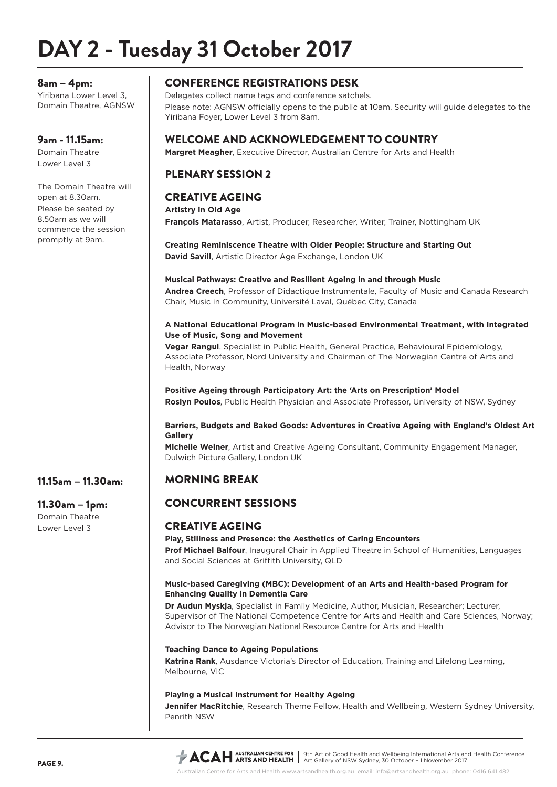## **DAY 2 - Tuesday 31 October 2017**

#### 8am – 4pm:

Yiribana Lower Level 3, Domain Theatre, AGNSW

#### 9am - 11.15am:

Domain Theatre Lower Level 3

The Domain Theatre will open at 8.30am. Please be seated by 8.50am as we will commence the session promptly at 9am.

11.15am – 11.30am:

11.30am – 1pm: Domain Theatre Lower Level 3

## CONFERENCE REGISTRATIONS DESK

Delegates collect name tags and conference satchels. Please note: AGNSW officially opens to the public at 10am. Security will guide delegates to the Yiribana Foyer, Lower Level 3 from 8am.

## WELCOME AND ACKNOWLEDGEMENT TO COUNTRY

**Margret Meagher**, Executive Director, Australian Centre for Arts and Health

## PLENARY SESSION 2

### CREATIVE AGEING

**Artistry in Old Age François Matarasso**, Artist, Producer, Researcher, Writer, Trainer, Nottingham UK

**Creating Reminiscence Theatre with Older People: Structure and Starting Out David Savill**, Artistic Director Age Exchange, London UK

#### **Musical Pathways: Creative and Resilient Ageing in and through Music**

**Andrea Creech**, Professor of Didactique Instrumentale, Faculty of Music and Canada Research Chair, Music in Community, Université Laval, Québec City, Canada

#### **A National Educational Program in Music-based Environmental Treatment, with Integrated Use of Music, Song and Movement**

**Vegar Rangul**, Specialist in Public Health, General Practice, Behavioural Epidemiology, Associate Professor, Nord University and Chairman of The Norwegian Centre of Arts and Health, Norway

#### **Positive Ageing through Participatory Art: the 'Arts on Prescription' Model Roslyn Poulos**, Public Health Physician and Associate Professor, University of NSW, Sydney

#### **Barriers, Budgets and Baked Goods: Adventures in Creative Ageing with England's Oldest Art Gallery**

**Michelle Weiner**, Artist and Creative Ageing Consultant, Community Engagement Manager, Dulwich Picture Gallery, London UK

## MORNING BREAK

## CONCURRENT SESSIONS

### CREATIVE AGEING

**Play, Stillness and Presence: the Aesthetics of Caring Encounters Prof Michael Balfour**, Inaugural Chair in Applied Theatre in School of Humanities, Languages and Social Sciences at Griffith University, QLD

#### **Music-based Caregiving (MBC): Development of an Arts and Health-based Program for Enhancing Quality in Dementia Care**

**Dr Audun Myskja**, Specialist in Family Medicine, Author, Musician, Researcher; Lecturer, Supervisor of The National Competence Centre for Arts and Health and Care Sciences, Norway; Advisor to The Norwegian National Resource Centre for Arts and Health

#### **Teaching Dance to Ageing Populations**

**Katrina Rank**, Ausdance Victoria's Director of Education, Training and Lifelong Learning, Melbourne, VIC

#### **Playing a Musical Instrument for Healthy Ageing**

**Jennifer MacRitchie**, Research Theme Fellow, Health and Wellbeing, Western Sydney University, Penrith NSW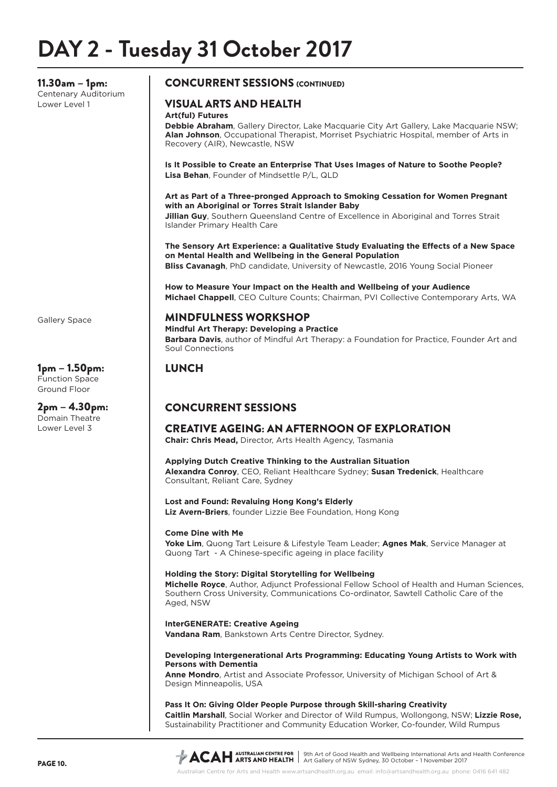11.30am – 1pm: Centenary Auditorium Lower Level 1

#### CONCURRENT SESSIONS (CONTINUED)

## VISUAL ARTS AND HEALTH

#### **Art(ful) Futures**

**Debbie Abraham**, Gallery Director, Lake Macquarie City Art Gallery, Lake Macquarie NSW; **Alan Johnson**, Occupational Therapist, Morriset Psychiatric Hospital, member of Arts in Recovery (AIR), Newcastle, NSW

**Is It Possible to Create an Enterprise That Uses Images of Nature to Soothe People? Lisa Behan**, Founder of Mindsettle P/L, QLD

**Art as Part of a Three-pronged Approach to Smoking Cessation for Women Pregnant with an Aboriginal or Torres Strait Islander Baby**

**Jillian Guy**, Southern Queensland Centre of Excellence in Aboriginal and Torres Strait Islander Primary Health Care

**The Sensory Art Experience: a Qualitative Study Evaluating the Effects of a New Space on Mental Health and Wellbeing in the General Population Bliss Cavanagh**, PhD candidate, University of Newcastle, 2016 Young Social Pioneer

**How to Measure Your Impact on the Health and Wellbeing of your Audience Michael Chappell**, CEO Culture Counts; Chairman, PVI Collective Contemporary Arts, WA

#### MINDFULNESS WORKSHOP

**Mindful Art Therapy: Developing a Practice**

**Barbara Davis**, author of Mindful Art Therapy: a Foundation for Practice, Founder Art and Soul Connections

## **LUNCH**

## CONCURRENT SESSIONS

CREATIVE AGEING: AN AFTERNOON OF EXPLORATION

**Chair: Chris Mead,** Director, Arts Health Agency, Tasmania

**Applying Dutch Creative Thinking to the Australian Situation Alexandra Conroy**, CEO, Reliant Healthcare Sydney; **Susan Tredenick**, Healthcare Consultant, Reliant Care, Sydney

**Lost and Found: Revaluing Hong Kong's Elderly Liz Avern-Briers**, founder Lizzie Bee Foundation, Hong Kong

#### **Come Dine with Me**

**Yoke Lim**, Quong Tart Leisure & Lifestyle Team Leader; **Agnes Mak**, Service Manager at Quong Tart - A Chinese-specific ageing in place facility

#### **Holding the Story: Digital Storytelling for Wellbeing**

**Michelle Royce**, Author, Adjunct Professional Fellow School of Health and Human Sciences, Southern Cross University, Communications Co-ordinator, Sawtell Catholic Care of the Aged, NSW

#### **InterGENERATE: Creative Ageing**

**Vandana Ram**, Bankstown Arts Centre Director, Sydney.

#### **Developing Intergenerational Arts Programming: Educating Young Artists to Work with Persons with Dementia**

**Anne Mondro**, Artist and Associate Professor, University of Michigan School of Art & Design Minneapolis, USA

**Pass It On: Giving Older People Purpose through Skill-sharing Creativity Caitlin Marshall**, Social Worker and Director of Wild Rumpus, Wollongong, NSW; **Lizzie Rose,** Sustainability Practitioner and Community Education Worker, Co-founder, Wild Rumpus

Gallery Space

1pm – 1.50pm: Function Space Ground Floor

2pm – 4.30pm: Domain Theatre Lower Level 3

9th Art of Good Health and Wellbeing International Arts and Health Conference Art Gallery of NSW Sydney, 30 October – 1 November 2017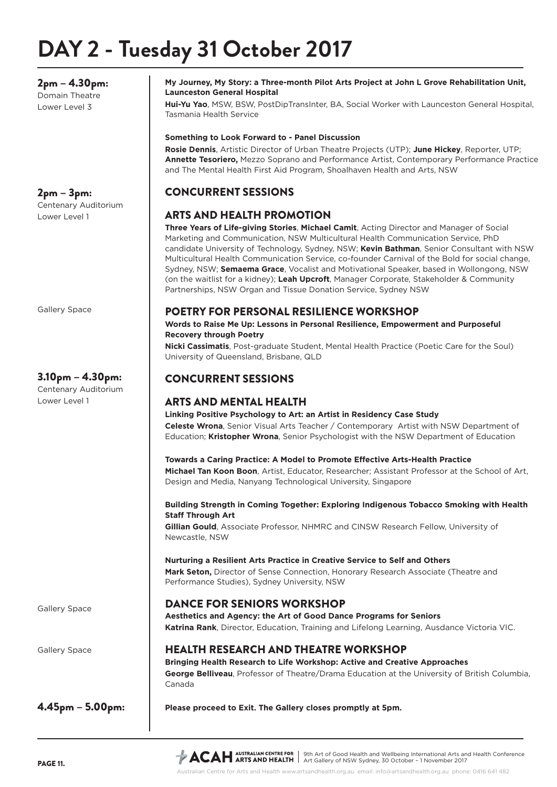## **DAY 2 - Tuesday 31 October 2017**

2pm – 4.30pm: Domain Theatre Lower Level 3

## 2pm – 3pm:

Centenary Auditorium Lower Level 1

Gallery Space

## 3.10pm – 4.30pm:

Centenary Auditorium Lower Level 1

Gallery Space

Gallery Space

4.45pm – 5.00pm:

#### **My Journey, My Story: a Three-month Pilot Arts Project at John L Grove Rehabilitation Unit, Launceston General Hospital**

**Hui-Yu Yao**, MSW, BSW, PostDipTransInter, BA, Social Worker with Launceston General Hospital, Tasmania Health Service

#### **Something to Look Forward to - Panel Discussion**

**Rosie Dennis**, Artistic Director of Urban Theatre Projects (UTP); **June Hickey**, Reporter, UTP; **Annette Tesoriero,** Mezzo Soprano and Performance Artist, Contemporary Performance Practice and The Mental Health First Aid Program, Shoalhaven Health and Arts, NSW

## CONCURRENT SESSIONS

### ARTS AND HEALTH PROMOTION

**Three Years of Life-giving Stories**, **Michael Camit**, Acting Director and Manager of Social Marketing and Communication, NSW Multicultural Health Communication Service, PhD candidate University of Technology, Sydney, NSW; **Kevin Bathman**, Senior Consultant with NSW Multicultural Health Communication Service, co-founder Carnival of the Bold for social change, Sydney, NSW; **Semaema Grace**, Vocalist and Motivational Speaker, based in Wollongong, NSW (on the waitlist for a kidney); **Leah Upcroft**, Manager Corporate, Stakeholder & Community Partnerships, NSW Organ and Tissue Donation Service, Sydney NSW

### POETRY FOR PERSONAL RESILIENCE WORKSHOP

**Words to Raise Me Up: Lessons in Personal Resilience, Empowerment and Purposeful Recovery through Poetry** 

**Nicki Cassimatis**, Post-graduate Student, Mental Health Practice (Poetic Care for the Soul) University of Queensland, Brisbane, QLD

## CONCURRENT SESSIONS

## ARTS AND MENTAL HEALTH

**Linking Positive Psychology to Art: an Artist in Residency Case Study Celeste Wrona**, Senior Visual Arts Teacher / Contemporary Artist with NSW Department of Education; **Kristopher Wrona**, Senior Psychologist with the NSW Department of Education

**Towards a Caring Practice: A Model to Promote Effective Arts-Health Practice Michael Tan Koon Boon**, Artist, Educator, Researcher; Assistant Professor at the School of Art, Design and Media, Nanyang Technological University, Singapore

#### **Building Strength in Coming Together: Exploring Indigenous Tobacco Smoking with Health Staff Through Art**

**Gillian Gould**, Associate Professor, NHMRC and CINSW Research Fellow, University of Newcastle, NSW

**Nurturing a Resilient Arts Practice in Creative Service to Self and Others Mark Seton,** Director of Sense Connection, Honorary Research Associate (Theatre and Performance Studies), Sydney University, NSW

## DANCE FOR SENIORS WORKSHOP

**Aesthetics and Agency: the Art of Good Dance Programs for Seniors Katrina Rank**, Director, Education, Training and Lifelong Learning, Ausdance Victoria VIC.

### HEALTH RESEARCH AND THEATRE WORKSHOP

**Bringing Health Research to Life Workshop: Active and Creative Approaches George Belliveau**, Professor of Theatre/Drama Education at the University of British Columbia, Canada

**Please proceed to Exit. The Gallery closes promptly at 5pm.**

9th Art of Good Health and Wellbeing International Arts and Health Conference Art Gallery of NSW Sydney, 30 October – 1 November 2017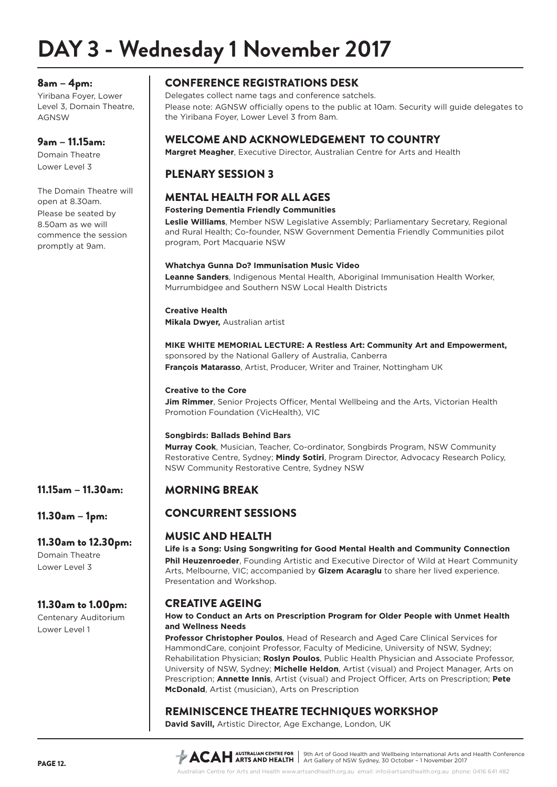## **DAY 3 - Wednesday 1 November 2017**

#### 8am – 4pm:

Yiribana Foyer, Lower Level 3, Domain Theatre, AGNSW

#### 9am – 11.15am:

Domain Theatre Lower Level 3

The Domain Theatre will open at 8.30am. Please be seated by 8.50am as we will commence the session promptly at 9am.

## 11.15am – 11.30am:

11.30am – 1pm:

#### 11.30am to 12.30pm:

Domain Theatre Lower Level 3

### 11.30am to 1.00pm:

Centenary Auditorium Lower Level 1

## CONFERENCE REGISTRATIONS DESK

Delegates collect name tags and conference satchels. Please note: AGNSW officially opens to the public at 10am. Security will guide delegates to the Yiribana Foyer, Lower Level 3 from 8am.

### WELCOME AND ACKNOWLEDGEMENT TO COUNTRY

**Margret Meagher**, Executive Director, Australian Centre for Arts and Health

### PLENARY SESSION 3

### MENTAL HEALTH FOR ALL AGES

#### **Fostering Dementia Friendly Communities**

**Leslie Williams**, Member NSW Legislative Assembly; Parliamentary Secretary, Regional and Rural Health; Co-founder, NSW Government Dementia Friendly Communities pilot program, Port Macquarie NSW

#### **Whatchya Gunna Do? Immunisation Music Video**

**Leanne Sanders**, Indigenous Mental Health, Aboriginal Immunisation Health Worker, Murrumbidgee and Southern NSW Local Health Districts

#### **Creative Health**

**Mikala Dwyer,** Australian artist

**MIKE WHITE MEMORIAL LECTURE: A Restless Art: Community Art and Empowerment,**  sponsored by the National Gallery of Australia, Canberra **François Matarasso**, Artist, Producer, Writer and Trainer, Nottingham UK

#### **Creative to the Core**

**Jim Rimmer**, Senior Projects Officer, Mental Wellbeing and the Arts, Victorian Health Promotion Foundation (VicHealth), VIC

#### **Songbirds: Ballads Behind Bars**

**Murray Cook**, Musician, Teacher, Co-ordinator, Songbirds Program, NSW Community Restorative Centre, Sydney; **Mindy Sotiri**, Program Director, Advocacy Research Policy, NSW Community Restorative Centre, Sydney NSW

### MORNING BREAK

## CONCURRENT SESSIONS

### MUSIC AND HEALTH

**Life is a Song: Using Songwriting for Good Mental Health and Community Connection Phil Heuzenroeder**, Founding Artistic and Executive Director of Wild at Heart Community Arts, Melbourne, VIC; accompanied by **Gizem Acaraglu** to share her lived experience. Presentation and Workshop.

## CREATIVE AGEING

#### **How to Conduct an Arts on Prescription Program for Older People with Unmet Health and Wellness Needs**

**Professor Christopher Poulos**, Head of Research and Aged Care Clinical Services for HammondCare, conjoint Professor, Faculty of Medicine, University of NSW, Sydney; Rehabilitation Physician; **Roslyn Poulos**, Public Health Physician and Associate Professor, University of NSW, Sydney; **Michelle Heldon**, Artist (visual) and Project Manager, Arts on Prescription; **Annette Innis**, Artist (visual) and Project Officer, Arts on Prescription; **Pete McDonald**, Artist (musician), Arts on Prescription

## REMINISCENCE THEATRE TECHNIQUES WORKSHOP

**David Savill,** Artistic Director, Age Exchange, London, UK